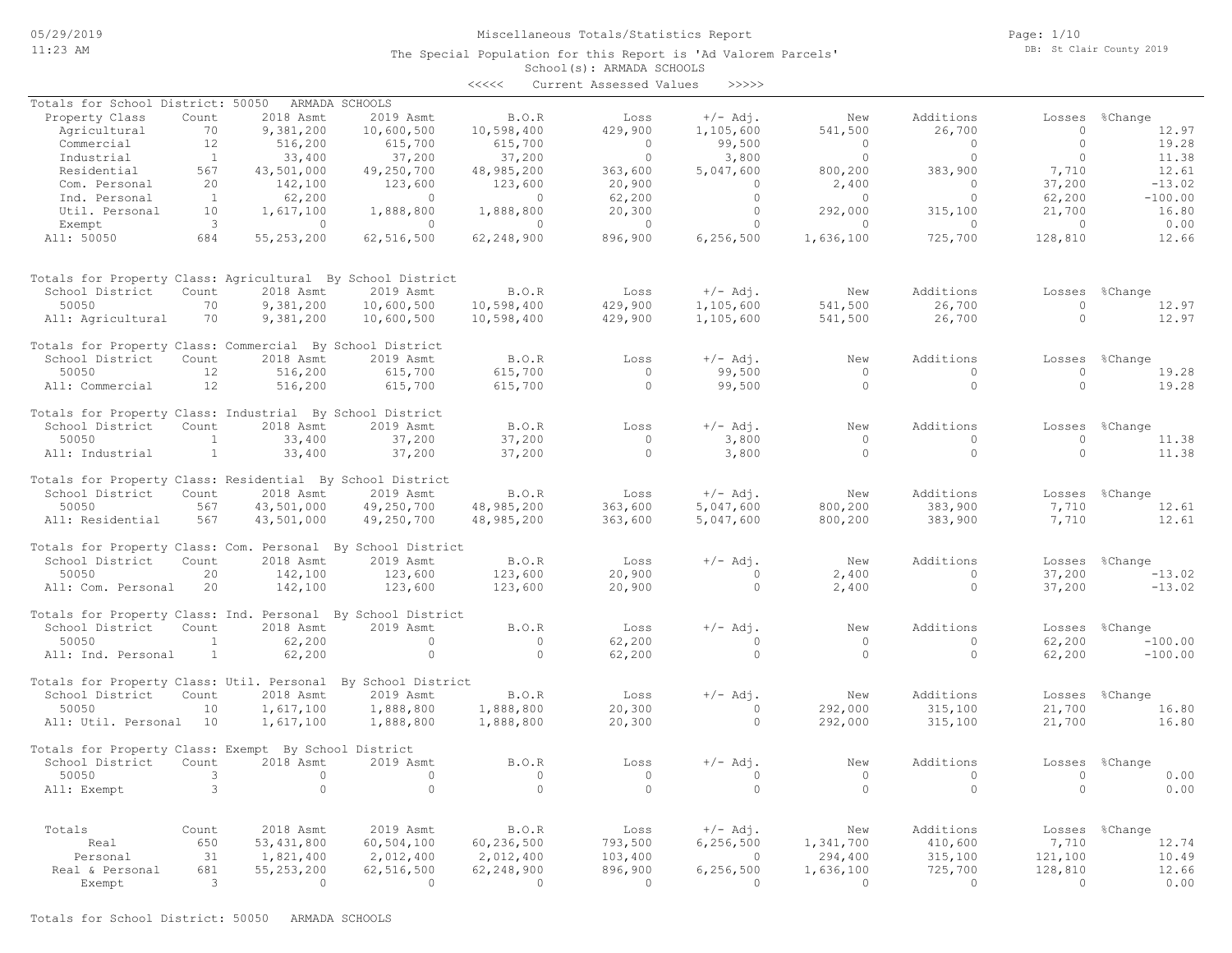School(s): ARMADA SCHOOLS The Special Population for this Report is 'Ad Valorem Parcels' Page: 1/10 DB: St Clair County 2019

|                                                              |                         |                |            | <<<<         | Current Assessed Values | >>>>>       |           |           |          |                |
|--------------------------------------------------------------|-------------------------|----------------|------------|--------------|-------------------------|-------------|-----------|-----------|----------|----------------|
| Totals for School District: 50050                            |                         | ARMADA SCHOOLS |            |              |                         |             |           |           |          |                |
| Property Class                                               | Count                   | 2018 Asmt      | 2019 Asmt  | B.O.R        | Loss                    | $+/-$ Adj.  | New       | Additions | Losses   | %Change        |
| Agricultural                                                 | 70                      | 9,381,200      | 10,600,500 | 10,598,400   | 429,900                 | 1,105,600   | 541,500   | 26,700    | $\circ$  | 12.97          |
| Commercial                                                   | 12                      | 516,200        | 615,700    | 615,700      | $\circ$                 | 99,500      | $\circ$   | $\circ$   | $\circ$  | 19.28          |
| Industrial                                                   | $\overline{1}$          | 33,400         | 37,200     | 37,200       | $\circ$                 | 3,800       | $\circ$   | $\circ$   | $\Omega$ | 11.38          |
| Residential                                                  | 567                     | 43,501,000     | 49,250,700 | 48,985,200   | 363,600                 | 5,047,600   | 800,200   | 383,900   | 7,710    | 12.61          |
| Com. Personal                                                | 20                      | 142,100        | 123,600    | 123,600      | 20,900                  | $\circ$     | 2,400     | $\circ$   | 37,200   | $-13.02$       |
| Ind. Personal                                                | $\overline{1}$          | 62,200         | $\circ$    | $\circ$      | 62,200                  | $\circ$     | $\circ$   | $\circ$   | 62,200   | $-100.00$      |
| Util. Personal                                               | 10                      | 1,617,100      | 1,888,800  | 1,888,800    | 20,300                  | $\circ$     | 292,000   | 315,100   | 21,700   | 16.80          |
| Exempt                                                       | $\overline{\mathbf{3}}$ | $\Omega$       | $\circ$    | $\Omega$     | $\circ$                 | $\Omega$    | $\Omega$  | $\Omega$  | $\Omega$ | 0.00           |
|                                                              |                         |                |            |              |                         |             |           |           |          | 12.66          |
| All: 50050                                                   | 684                     | 55, 253, 200   | 62,516,500 | 62,248,900   | 896,900                 | 6, 256, 500 | 1,636,100 | 725,700   | 128,810  |                |
| Totals for Property Class: Agricultural By School District   |                         |                |            |              |                         |             |           |           |          |                |
| School District                                              | Count                   | 2018 Asmt      | 2019 Asmt  | B.O.R        | Loss                    | $+/-$ Adj.  | New       | Additions | Losses   | %Change        |
| 50050                                                        | 70                      | 9,381,200      | 10,600,500 | 10,598,400   | 429,900                 | 1,105,600   | 541,500   | 26,700    | $\circ$  | 12.97          |
| All: Agricultural                                            | 70                      | 9,381,200      | 10,600,500 | 10,598,400   | 429,900                 | 1,105,600   | 541,500   | 26,700    | $\circ$  | 12.97          |
| Totals for Property Class: Commercial By School District     |                         |                |            |              |                         |             |           |           |          |                |
| School District                                              | Count                   | 2018 Asmt      | 2019 Asmt  | <b>B.O.R</b> | Loss                    | $+/-$ Adj.  | New       | Additions | Losses   | %Change        |
| 50050                                                        | 12                      | 516,200        | 615,700    | 615,700      | $\circ$                 | 99,500      | $\circ$   | $\circ$   | $\circ$  | 19.28          |
| All: Commercial                                              | 12                      | 516,200        | 615,700    | 615,700      | $\Omega$                | 99,500      | $\Omega$  | $\Omega$  | $\Omega$ | 19.28          |
| Totals for Property Class: Industrial By School District     |                         |                |            |              |                         |             |           |           |          |                |
| School District                                              | Count                   | 2018 Asmt      | 2019 Asmt  | B.O.R        | Loss                    | $+/-$ Adj.  | New       | Additions | Losses   | %Change        |
| 50050                                                        | $\mathbf{1}$            | 33,400         | 37,200     | 37,200       | $\circ$                 | 3,800       | $\circ$   | $\Omega$  | $\circ$  | 11.38          |
| All: Industrial                                              | <sup>1</sup>            | 33,400         | 37,200     | 37,200       | $\circ$                 | 3,800       | $\circ$   | $\circ$   | $\Omega$ | 11.38          |
| Totals for Property Class: Residential By School District    |                         |                |            |              |                         |             |           |           |          |                |
| School District                                              | Count                   | 2018 Asmt      | 2019 Asmt  | B.O.R        | Loss                    | $+/-$ Adj.  | New       | Additions |          | Losses %Change |
| 50050                                                        | 567                     | 43,501,000     | 49,250,700 | 48,985,200   | 363,600                 | 5,047,600   | 800,200   | 383,900   | 7,710    | 12.61          |
| All: Residential                                             | 567                     | 43,501,000     | 49,250,700 | 48,985,200   | 363,600                 | 5,047,600   | 800,200   | 383,900   | 7,710    | 12.61          |
|                                                              |                         |                |            |              |                         |             |           |           |          |                |
| Totals for Property Class: Com. Personal By School District  |                         |                |            |              |                         |             | New       |           |          |                |
| School District                                              | Count                   | 2018 Asmt      | 2019 Asmt  | B.O.R        | Loss                    | $+/-$ Adj.  |           | Additions | Losses   | %Change        |
| 50050                                                        | 20                      | 142,100        | 123,600    | 123,600      | 20,900                  | $\circ$     | 2,400     | $\circ$   | 37,200   | $-13.02$       |
| All: Com. Personal                                           | 20                      | 142,100        | 123,600    | 123,600      | 20,900                  | $\Omega$    | 2,400     | $\Omega$  | 37,200   | $-13.02$       |
| Totals for Property Class: Ind. Personal By School District  |                         |                |            |              |                         |             |           |           |          |                |
| School District                                              | Count                   | 2018 Asmt      | 2019 Asmt  | B.O.R        | Loss                    | $+/-$ Adj.  | New       | Additions | Losses   | %Change        |
| 50050                                                        | 1                       | 62,200         | $\circ$    | $\circ$      | 62,200                  | $\circ$     | $\circ$   | $\circ$   | 62,200   | $-100.00$      |
| All: Ind. Personal                                           | <sup>1</sup>            | 62,200         | $\circ$    | $\Omega$     | 62,200                  | $\circ$     | $\circ$   | $\circ$   | 62,200   | $-100.00$      |
| Totals for Property Class: Util. Personal By School District |                         |                |            |              |                         |             |           |           |          |                |
| School District                                              | Count                   | 2018 Asmt      | 2019 Asmt  | B.O.R        | Loss                    | $+/-$ Adj.  | New       | Additions | Losses   | %Change        |
| 50050                                                        | 10                      | 1,617,100      | 1,888,800  | 1,888,800    | 20,300                  | $\circ$     | 292,000   | 315,100   | 21,700   | 16.80          |
| All: Util. Personal 10                                       |                         | 1,617,100      | 1,888,800  | 1,888,800    | 20,300                  | $\circ$     | 292,000   | 315,100   | 21,700   | 16.80          |
| Totals for Property Class: Exempt By School District         |                         |                |            |              |                         |             |           |           |          |                |
| School District                                              | Count                   | 2018 Asmt      | 2019 Asmt  | B.O.R        | Loss                    | $+/-$ Adj.  | New       | Additions | Losses   | %Change        |
| 50050                                                        | 3                       | $\circ$        | $\circ$    | $\circ$      | $\circ$                 | $\circ$     | $\circ$   | $\circ$   | $\circ$  | 0.00           |
| All: Exempt                                                  | 3                       | $\circ$        | $\circ$    | $\circ$      | $\circ$                 | $\circ$     | $\circ$   | $\circ$   | $\circ$  | 0.00           |
|                                                              |                         |                |            |              |                         |             |           |           |          |                |
| Totals                                                       | Count                   | 2018 Asmt      | 2019 Asmt  | <b>B.O.R</b> | Loss                    | $+/-$ Adj.  | New       | Additions | Losses   | %Change        |
| Real                                                         | 650                     | 53, 431, 800   | 60,504,100 | 60,236,500   | 793,500                 | 6,256,500   | 1,341,700 | 410,600   | 7,710    | 12.74          |
| Personal                                                     | 31                      | 1,821,400      | 2,012,400  | 2,012,400    | 103,400                 | $\circ$     | 294,400   | 315,100   | 121,100  | 10.49          |
| Real & Personal                                              | 681                     | 55, 253, 200   | 62,516,500 | 62,248,900   | 896,900                 | 6, 256, 500 | 1,636,100 | 725,700   | 128,810  | 12.66          |
| Exempt                                                       | $\mathcal{E}$           | $\Omega$       | $\Omega$   | $\Omega$     | $\Omega$                | $\Omega$    | $\Omega$  | $\Omega$  | $\Omega$ | 0.00           |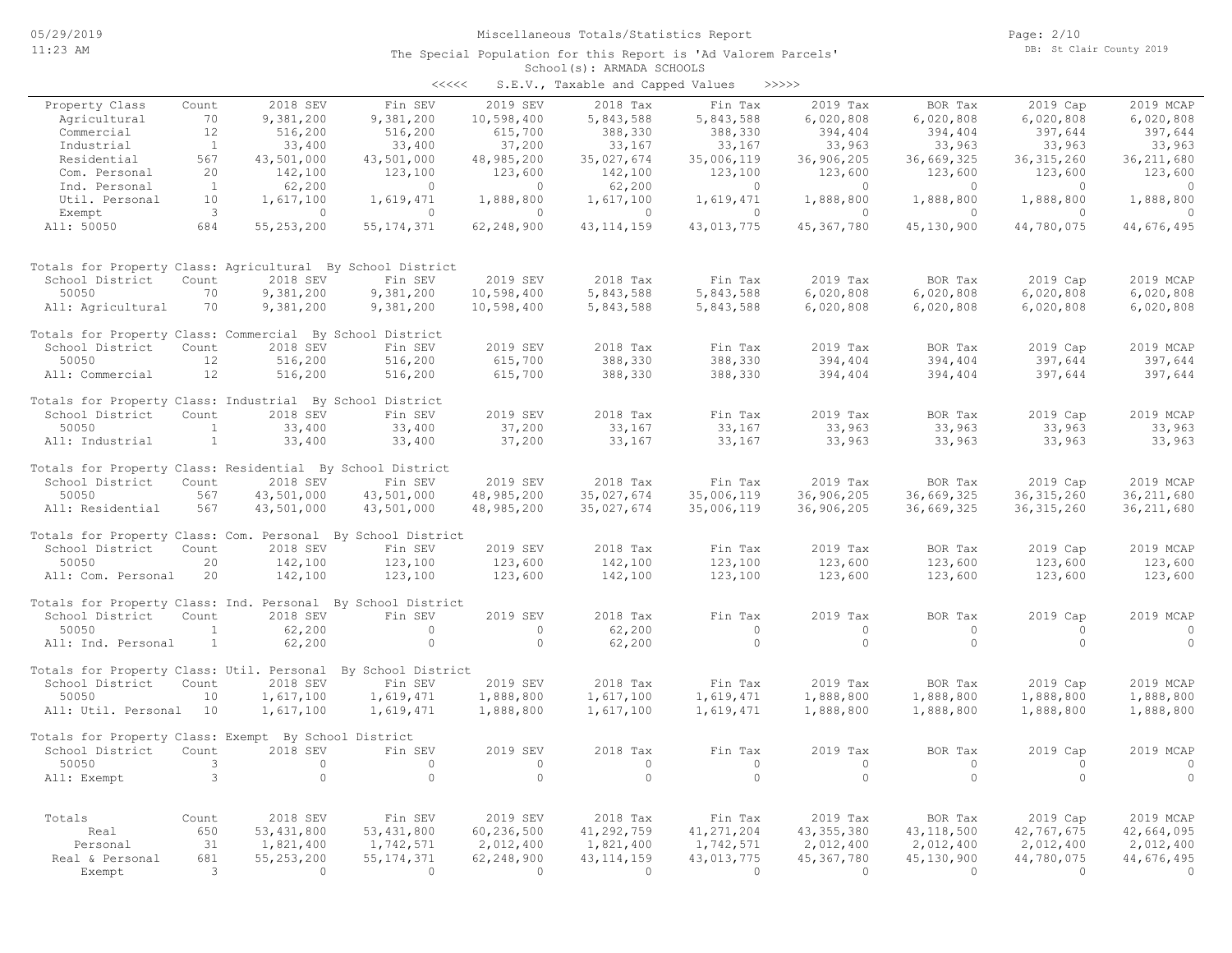#### School(s): ARMADA SCHOOLS The Special Population for this Report is 'Ad Valorem Parcels'

| くくくくく | S.E.V., Taxable and Capped Values |  |  |  | >>>>> |
|-------|-----------------------------------|--|--|--|-------|
|-------|-----------------------------------|--|--|--|-------|

|                                                             |                         |              |                    |                | $5.2.7.7$ candidate and capped |              |                |                |              |              |
|-------------------------------------------------------------|-------------------------|--------------|--------------------|----------------|--------------------------------|--------------|----------------|----------------|--------------|--------------|
| Property Class                                              | Count                   | 2018 SEV     | Fin SEV            | 2019 SEV       | 2018 Tax                       | Fin Tax      | 2019 Tax       | BOR Tax        | 2019 Cap     | 2019 MCAP    |
| Agricultural                                                | 70                      | 9,381,200    | 9,381,200          | 10,598,400     | 5,843,588                      | 5,843,588    | 6,020,808      | 6,020,808      | 6,020,808    | 6,020,808    |
| Commercial                                                  | 12                      | 516,200      | 516,200            | 615,700        | 388,330                        | 388,330      | 394,404        | 394,404        | 397,644      | 397,644      |
| Industrial                                                  | $\overline{1}$          | 33,400       | 33,400             | 37,200         | 33,167                         | 33,167       | 33,963         | 33,963         | 33,963       | 33,963       |
| Residential                                                 | 567                     | 43,501,000   | 43,501,000         | 48,985,200     | 35,027,674                     | 35,006,119   | 36,906,205     | 36,669,325     | 36, 315, 260 | 36, 211, 680 |
| Com. Personal                                               | 20                      | 142,100      | 123,100            | 123,600        | 142,100                        | 123,100      | 123,600        | 123,600        | 123,600      | 123,600      |
| Ind. Personal                                               | $\overline{1}$          | 62,200       | $\circ$            | $\circ$        | 62,200                         | $\circ$      | $\circ$        | $\circ$        | $\circ$      | $\circ$      |
| Util. Personal                                              | 10                      | 1,617,100    | 1,619,471          | 1,888,800      | 1,617,100                      | 1,619,471    | 1,888,800      | 1,888,800      | 1,888,800    | 1,888,800    |
| Exempt                                                      | $\overline{3}$          | $\circ$      | $\circ$            | $\circ$        | $\circ$                        | $\circ$      | $\overline{0}$ | $\circ$        | $\circ$      | $\circ$      |
| All: 50050                                                  | 684                     | 55, 253, 200 | 55, 174, 371       | 62,248,900     | 43, 114, 159                   | 43,013,775   | 45,367,780     | 45,130,900     | 44,780,075   | 44,676,495   |
|                                                             |                         |              |                    |                |                                |              |                |                |              |              |
|                                                             |                         |              |                    |                |                                |              |                |                |              |              |
| Totals for Property Class: Agricultural By School District  |                         |              |                    |                |                                |              |                |                |              |              |
| School District                                             | Count                   | 2018 SEV     | Fin SEV            | 2019 SEV       | 2018 Tax                       | Fin Tax      | 2019 Tax       | BOR Tax        | 2019 Cap     | 2019 MCAP    |
| 50050                                                       | 70                      | 9,381,200    | 9,381,200          | 10,598,400     | 5,843,588                      | 5,843,588    | 6,020,808      | 6,020,808      | 6,020,808    | 6,020,808    |
| All: Agricultural                                           | 70                      | 9,381,200    | 9,381,200          | 10,598,400     | 5,843,588                      | 5,843,588    | 6,020,808      | 6,020,808      | 6,020,808    | 6,020,808    |
| Totals for Property Class: Commercial By School District    |                         |              |                    |                |                                |              |                |                |              |              |
| School District                                             | Count                   | 2018 SEV     | Fin SEV            | 2019 SEV       | 2018 Tax                       | Fin Tax      | 2019 Tax       | BOR Tax        | 2019 Cap     | 2019 MCAP    |
| 50050                                                       | 12                      | 516,200      | 516,200            | 615,700        | 388,330                        | 388,330      | 394,404        | 394,404        | 397,644      | 397,644      |
| All: Commercial                                             | 12                      | 516,200      | 516,200            | 615,700        | 388,330                        | 388,330      | 394,404        | 394,404        | 397,644      | 397,644      |
|                                                             |                         |              |                    |                |                                |              |                |                |              |              |
| Totals for Property Class: Industrial By School District    |                         |              |                    |                |                                |              |                |                |              |              |
| School District                                             | Count                   | 2018 SEV     | Fin SEV            | 2019 SEV       | 2018 Tax                       | Fin Tax      | 2019 Tax       | BOR Tax        | 2019 Cap     | 2019 MCAP    |
| 50050                                                       | <sup>1</sup>            | 33,400       | 33,400             | 37,200         | 33,167                         | 33,167       | 33,963         | 33,963         | 33,963       | 33,963       |
| All: Industrial                                             | $\mathbf{1}$            | 33,400       | 33,400             | 37,200         | 33,167                         | 33,167       | 33,963         | 33,963         | 33,963       | 33,963       |
|                                                             |                         |              |                    |                |                                |              |                |                |              |              |
| Totals for Property Class: Residential By School District   |                         |              |                    |                |                                |              |                |                |              |              |
| School District                                             | Count                   | 2018 SEV     | Fin SEV            | 2019 SEV       | 2018 Tax                       | Fin Tax      | 2019 Tax       | BOR Tax        | 2019 Cap     | 2019 MCAP    |
| 50050                                                       | 567                     | 43,501,000   | 43,501,000         | 48,985,200     | 35,027,674                     | 35,006,119   | 36,906,205     | 36,669,325     | 36, 315, 260 | 36, 211, 680 |
| All: Residential                                            | 567                     | 43,501,000   | 43,501,000         | 48,985,200     | 35,027,674                     | 35,006,119   | 36,906,205     | 36,669,325     | 36, 315, 260 | 36, 211, 680 |
| Totals for Property Class: Com. Personal By School District |                         |              |                    |                |                                |              |                |                |              |              |
| School District                                             | Count                   | 2018 SEV     | Fin SEV            | 2019 SEV       | 2018 Tax                       | Fin Tax      | 2019 Tax       | BOR Tax        | 2019 Cap     | 2019 MCAP    |
| 50050                                                       | 20                      | 142,100      | 123,100            | 123,600        | 142,100                        | 123,100      | 123,600        | 123,600        | 123,600      | 123,600      |
| All: Com. Personal                                          | 20                      | 142,100      | 123,100            | 123,600        | 142,100                        | 123,100      | 123,600        | 123,600        | 123,600      | 123,600      |
|                                                             |                         |              |                    |                |                                |              |                |                |              |              |
| Totals for Property Class: Ind. Personal By School District |                         |              |                    |                |                                |              |                |                |              |              |
| School District                                             | Count                   | 2018 SEV     | Fin SEV            | 2019 SEV       | 2018 Tax                       | Fin Tax      | 2019 Tax       | BOR Tax        | 2019 Cap     | 2019 MCAP    |
| 50050                                                       | $\mathbf{1}$            | 62,200       | $\circ$            | $\circ$        | 62,200                         | $\circ$      | $\circ$        | $\circ$        | $\circ$      | $\circ$      |
| All: Ind. Personal                                          | 1                       | 62,200       | $\circ$            | $\circ$        | 62,200                         | $\circ$      | $\circ$        | $\circ$        | $\circ$      | $\circ$      |
| Totals for Property Class: Util. Personal                   |                         |              | By School District |                |                                |              |                |                |              |              |
| School District                                             | Count                   | 2018 SEV     | Fin SEV            | 2019 SEV       | 2018 Tax                       | Fin Tax      | 2019 Tax       | BOR Tax        | 2019 Cap     | 2019 MCAP    |
| 50050                                                       | 10                      | 1,617,100    | 1,619,471          | 1,888,800      | 1,617,100                      | 1,619,471    | 1,888,800      | 1,888,800      | 1,888,800    | 1,888,800    |
| All: Util. Personal                                         | 10                      | 1,617,100    | 1,619,471          | 1,888,800      | 1,617,100                      | 1,619,471    | 1,888,800      | 1,888,800      | 1,888,800    | 1,888,800    |
|                                                             |                         |              |                    |                |                                |              |                |                |              |              |
| Totals for Property Class: Exempt By School District        |                         |              |                    |                |                                |              |                |                |              |              |
| School District                                             | Count                   | 2018 SEV     | Fin SEV            | 2019 SEV       | 2018 Tax                       | Fin Tax      | 2019 Tax       | BOR Tax        | 2019 Cap     | 2019 MCAP    |
| 50050                                                       | 3                       | $\circ$      | $\circ$            | $\circ$        | $\circ$                        | $\circ$      | $\circ$        | $\circ$        | $\circ$      | $\circ$      |
| All: Exempt                                                 | $\mathbf{3}$            | $\circ$      | $\circ$            | $\circ$        | $\Omega$                       | $\circ$      | $\circ$        | $\circ$        | $\Omega$     | $\circ$      |
|                                                             |                         |              |                    |                |                                |              |                |                |              |              |
| Totals                                                      | Count                   | 2018 SEV     | Fin SEV            | 2019 SEV       | 2018 Tax                       | Fin Tax      | 2019 Tax       | BOR Tax        | 2019 Cap     | 2019 MCAP    |
| Real                                                        | 650                     | 53, 431, 800 | 53, 431, 800       | 60,236,500     | 41,292,759                     | 41, 271, 204 | 43, 355, 380   | 43, 118, 500   | 42,767,675   | 42,664,095   |
| Personal                                                    | 31                      | 1,821,400    | 1,742,571          | 2,012,400      | 1,821,400                      | 1,742,571    | 2,012,400      | 2,012,400      | 2,012,400    | 2,012,400    |
| Real & Personal                                             | 681                     | 55, 253, 200 | 55, 174, 371       | 62,248,900     | 43, 114, 159                   | 43,013,775   | 45,367,780     | 45,130,900     | 44,780,075   | 44,676,495   |
| Exempt                                                      | $\overline{\mathbf{3}}$ | $\Omega$     | $\Omega$           | $\overline{0}$ | $\overline{0}$                 | $\Omega$     | $\Omega$       | $\overline{0}$ | $\bigcirc$   | $\bigcirc$   |
|                                                             |                         |              |                    |                |                                |              |                |                |              |              |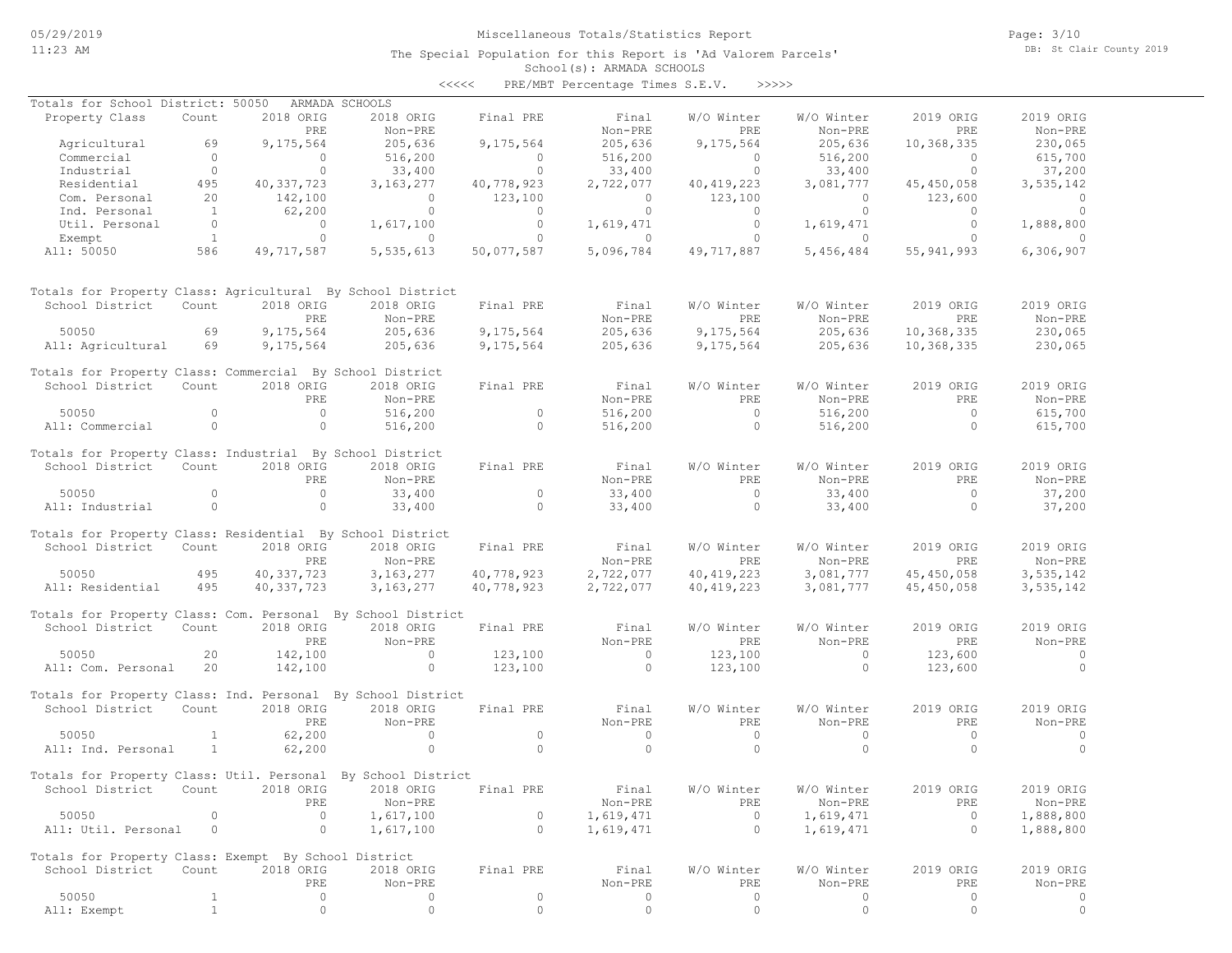The Special Population for this Report is 'Ad Valorem Parcels'

Page: 3/10 DB: St Clair County 2019

### School(s): ARMADA SCHOOLS

|                                                              |                |                |                | <<<<       | PRE/MBT Percentage Times S.E.V. | >>>>>          |                     |                |                    |
|--------------------------------------------------------------|----------------|----------------|----------------|------------|---------------------------------|----------------|---------------------|----------------|--------------------|
| Totals for School District: 50050 ARMADA SCHOOLS             |                |                |                |            |                                 |                |                     |                |                    |
| Property Class                                               | Count          | 2018 ORIG      | 2018 ORIG      | Final PRE  | Final                           | W/O Winter     | W/O Winter          | 2019 ORIG      | 2019 ORIG          |
|                                                              |                | PRE            | Non-PRE        |            | Non-PRE                         | PRE            | $Non-PRF$           | <b>PRE</b>     | Non-PRE            |
| Agricultural                                                 | 69             | 9,175,564      | 205,636        | 9,175,564  | 205,636                         | 9,175,564      | 205,636             | 10,368,335     | 230,065            |
| Commercial                                                   | $\Omega$       | $\overline{0}$ | 516,200        | $\circ$    | 516,200                         | $\overline{0}$ | 516,200             | $\bigcirc$     | 615,700            |
| Industrial                                                   | $\bigcirc$     | $\Omega$       | 33,400         | $\Omega$   | 33,400                          | $\circ$        | 33,400              | $\Omega$       | 37,200             |
| Residential                                                  | 495            | 40, 337, 723   | 3, 163, 277    | 40,778,923 | 2,722,077                       | 40, 419, 223   | 3,081,777           | 45,450,058     | 3,535,142          |
| Com. Personal                                                | 20             | 142,100        | $\overline{0}$ | 123,100    | $\overline{0}$                  | 123,100        | $\overline{0}$      | 123,600        | $\circ$            |
| Ind. Personal                                                | $\overline{1}$ | 62,200         | $\circ$        | $\circ$    | $\overline{0}$                  | $\circ$        | $\circ$             | $\circ$        | $\circ$            |
| Util. Personal                                               | $\overline{0}$ | $\overline{0}$ | 1,617,100      | $\circ$    | 1,619,471                       | $\circ$        | 1,619,471           | $\circ$        | 1,888,800          |
| Exempt                                                       | $\overline{1}$ | $\circ$        | $\circ$        | $\circ$    | $\overline{0}$                  | $\circ$        | $\overline{0}$      | $\Omega$       | $\circ$            |
| All: 50050                                                   | 586            | 49,717,587     | 5,535,613      | 50,077,587 | 5,096,784                       | 49,717,887     | 5,456,484           | 55,941,993     | 6,306,907          |
|                                                              |                |                |                |            |                                 |                |                     |                |                    |
| Totals for Property Class: Agricultural By School District   |                |                |                |            |                                 |                |                     |                |                    |
| School District Count                                        |                | 2018 ORIG      | 2018 ORIG      | Final PRE  | Final                           | W/O Winter     | W/O Winter          | 2019 ORIG      | 2019 ORIG          |
|                                                              |                | PRE            | Non-PRE        |            | Non-PRE                         | PRE            | Non-PRE             | PRE            | Non-PRE            |
| 50050                                                        | 69             | 9,175,564      | 205,636        | 9,175,564  | 205,636                         | 9,175,564      | 205,636             | 10,368,335     | 230,065            |
| All: Agricultural                                            | 69             | 9,175,564      | 205,636        | 9,175,564  | 205,636                         | 9,175,564      | 205,636             | 10,368,335     | 230,065            |
|                                                              |                |                |                |            |                                 |                |                     |                |                    |
| Totals for Property Class: Commercial By School District     |                |                |                |            |                                 |                |                     |                |                    |
| School District Count                                        |                | 2018 ORIG      | 2018 ORIG      | Final PRE  | Final                           | W/O Winter     | W/O Winter          | 2019 ORIG      | 2019 ORIG          |
|                                                              |                | PRE            | Non-PRE        |            | Non-PRE                         | PRE            | Non-PRE             | PRE            | Non-PRE            |
| 50050                                                        | $\circ$        | $\circ$        | 516,200        | $\circ$    | 516,200                         | $\overline{0}$ | 516,200             | $\Omega$       | 615,700            |
| All: Commercial                                              | $\circ$        | $\circ$        | 516,200        | $\circ$    | 516,200                         | $\circ$        | 516,200             | $\overline{0}$ | 615,700            |
|                                                              |                |                |                |            |                                 |                |                     |                |                    |
| Totals for Property Class: Industrial By School District     |                |                |                |            |                                 |                |                     |                |                    |
| School District Count                                        |                | 2018 ORIG      | 2018 ORIG      | Final PRE  | Final                           | W/O Winter     | W/O Winter          | 2019 ORIG      | 2019 ORIG          |
|                                                              |                | PRE            | Non-PRE        |            | Non-PRE                         | PRE            | Non-PRE             | PRE            | Non-PRE            |
| 50050                                                        | $\circ$        | $\circ$        | 33,400         | $\circ$    | 33,400                          | $\overline{0}$ | 33,400              | $\overline{0}$ | 37,200             |
| All: Industrial                                              | $\circ$        | $\circ$        | 33,400         | $\circ$    | 33,400                          | $\Omega$       | 33,400              | $\Omega$       | 37,200             |
|                                                              |                |                |                |            |                                 |                |                     |                |                    |
| Totals for Property Class: Residential By School District    |                |                |                |            |                                 |                |                     |                |                    |
| School District Count                                        |                | 2018 ORIG      | 2018 ORIG      | Final PRE  | Final                           | W/O Winter     | W/O Winter          | 2019 ORIG      | 2019 ORIG          |
|                                                              |                | PRE            | Non-PRE        |            | Non-PRE                         | PRE            | Non-PRE             | PRE            | Non-PRE            |
| 50050                                                        | 495            | 40, 337, 723   | 3, 163, 277    | 40,778,923 | 2,722,077                       | 40, 419, 223   | 3,081,777           | 45, 450, 058   | 3,535,142          |
|                                                              | 495            |                |                |            |                                 |                |                     |                |                    |
| All: Residential                                             |                | 40, 337, 723   | 3, 163, 277    | 40,778,923 | 2,722,077                       | 40, 419, 223   | 3,081,777           | 45,450,058     | 3,535,142          |
| Totals for Property Class: Com. Personal By School District  |                |                |                |            |                                 |                |                     |                |                    |
| School District Count                                        |                | 2018 ORIG      | 2018 ORIG      |            |                                 | W/O Winter     | W/O Winter          | 2019 ORIG      | 2019 ORIG          |
|                                                              |                | PRE            | Non-PRE        | Final PRE  | Final<br>Non-PRE                | PRE            |                     | <b>PRE</b>     |                    |
|                                                              |                |                | $\Omega$       |            | $\circ$                         |                | Non-PRE<br>$\Omega$ |                | Non-PRE<br>$\circ$ |
| 50050                                                        | 20             | 142,100        |                | 123,100    |                                 | 123,100        |                     | 123,600        |                    |
| All: Com. Personal 20                                        |                | 142,100        | $\overline{0}$ | 123,100    | $\circ$                         | 123,100        | $\circ$             | 123,600        | $\circ$            |
|                                                              |                |                |                |            |                                 |                |                     |                |                    |
| Totals for Property Class: Ind. Personal By School District  |                |                |                |            |                                 |                |                     |                |                    |
| School District Count                                        |                | 2018 ORIG      | 2018 ORIG      | Final PRE  | Final                           | W/O Winter     | W/O Winter          | 2019 ORIG      | 2019 ORIG          |
|                                                              |                | PRE            | Non-PRE        |            | Non-PRE                         | PRE            | Non-PRE             | PRE            | Non-PRE            |
| 50050                                                        | $\mathbf{1}$   | 62,200         | $\Omega$       | $\circ$    | $\Omega$                        | $\Omega$       | $\Omega$            | $\circ$        | $\circ$            |
| All: Ind. Personal                                           | $\sim$ 1       | 62,200         | $\Omega$       | $\Omega$   | $\Omega$                        | $\Omega$       | $\Omega$            | $\Omega$       | $\circ$            |
| Totals for Property Class: Util. Personal By School District |                |                |                |            |                                 |                |                     |                |                    |
| School District Count                                        |                | 2018 ORIG      | 2018 ORIG      | Final PRE  | Final                           | W/O Winter     | W/O Winter          | 2019 ORIG      | 2019 ORIG          |
|                                                              |                | PRE            | Non-PRE        |            | Non-PRE                         | PRE            | Non-PRE             | PRE            | Non-PRE            |
| 50050                                                        | $\circ$        | $\circ$        | 1,617,100      | $\circ$    | 1,619,471                       | $\overline{0}$ | 1,619,471           | $\overline{0}$ | 1,888,800          |
| All: Util. Personal                                          | $\circ$        | $\circ$        | 1,617,100      | $\circ$    | 1,619,471                       | $\circ$        | 1,619,471           | $\circ$        | 1,888,800          |
|                                                              |                |                |                |            |                                 |                |                     |                |                    |
| Totals for Property Class: Exempt By School District         |                |                |                |            |                                 |                |                     |                |                    |
| School District                                              |                |                |                |            |                                 |                |                     |                | 2019 ORIG          |
|                                                              | Count          | 2018 ORIG      | 2018 ORIG      | Final PRE  | Final                           | W/O Winter     | W/O Winter          | 2019 ORIG      |                    |
|                                                              |                | PRE            | Non-PRE        |            | Non-PRE                         | PRE            | Non-PRE             | PRE            | Non-PRE            |
| 50050                                                        | $\mathbf{1}$   | $\circ$        | $\Omega$       | $\circ$    | $\circ$                         | $\circ$        | $\Omega$            | $\circ$        | $\circ$            |

All: Exempt 1 0 0 0 0 0 0 0 0 0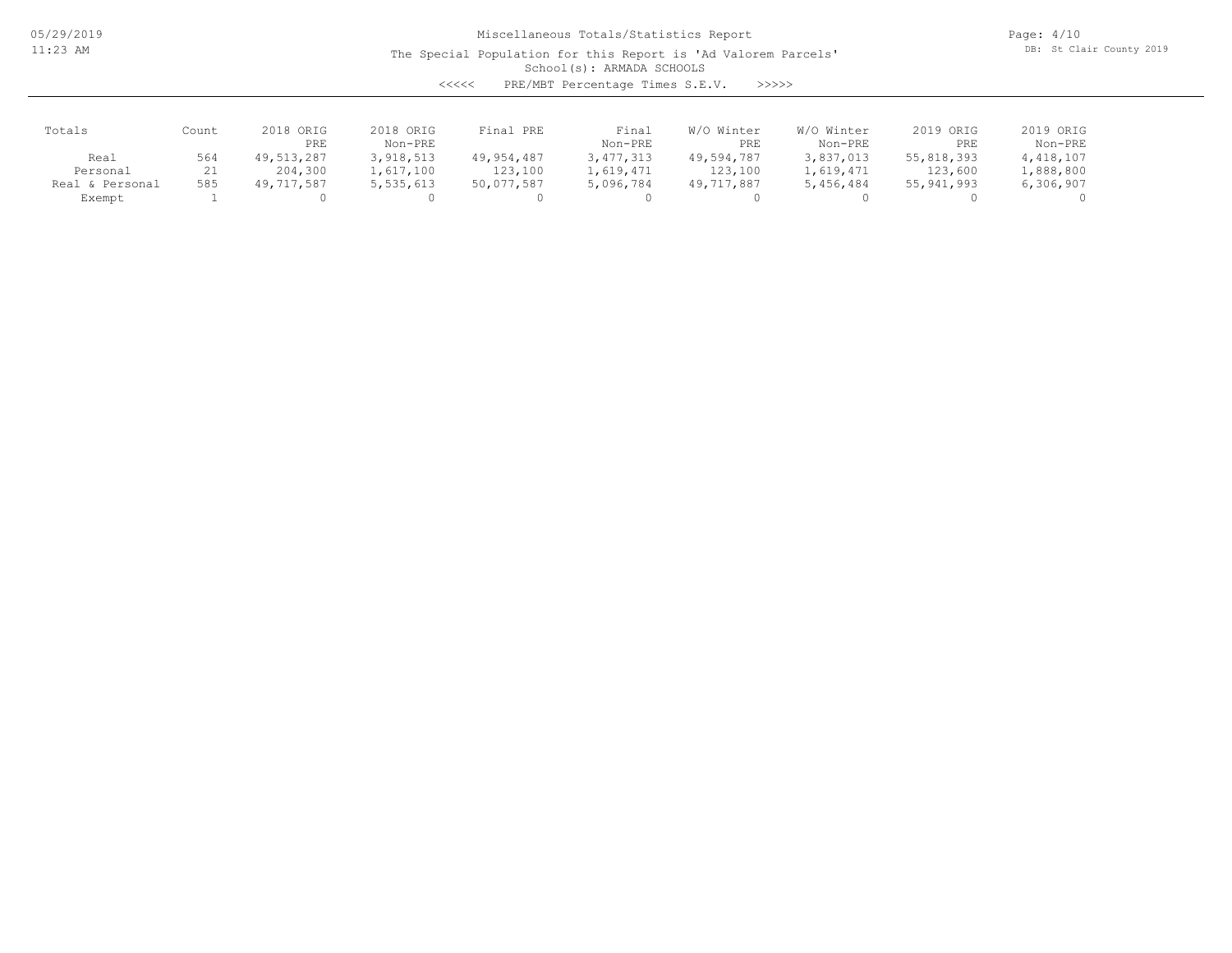The Special Population for this Report is 'Ad Valorem Parcels'

Page: 4/10 DB: St Clair County 2019

School(s): ARMADA SCHOOLS

<<<<< PRE/MBT Percentage Times S.E.V. >>>>>

| Totals                         | Count     | 2018 ORIG<br>PRE      | 2018 ORIG<br>Non-PRE   | Final PRE             | Final<br>Non-PRE       | W/O Winter<br>PRE     | W/O Winter<br>Non-PRE  | 2019 ORIG<br>PRE      | 2019 ORIG<br>Non-PRE   |
|--------------------------------|-----------|-----------------------|------------------------|-----------------------|------------------------|-----------------------|------------------------|-----------------------|------------------------|
| Real<br>Personal               | 564<br>21 | 49,513,287<br>204,300 | 3,918,513<br>1,617,100 | 49,954,487<br>123,100 | 3,477,313<br>1,619,471 | 49,594,787<br>123,100 | 3,837,013<br>1,619,471 | 55,818,393<br>123,600 | 4,418,107<br>1,888,800 |
| . & Personal<br>Real<br>Exempt | 585       | 49,717,587            | 5,535,613              | 50,077,587            | 5,096,784              | 49,717,887            | 5,456,484              | 55, 941, 993          | 6,306,907              |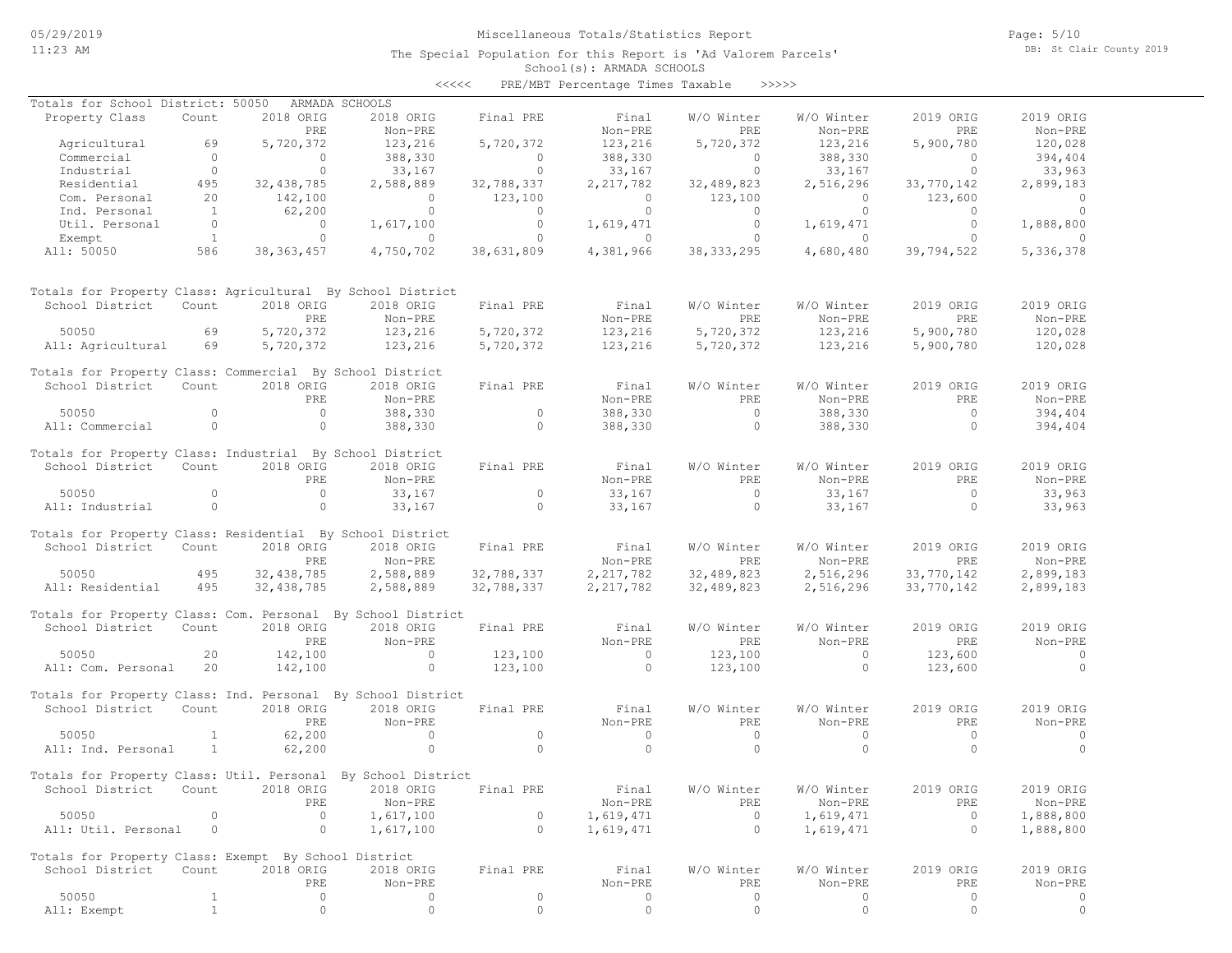The Special Population for this Report is 'Ad Valorem Parcels'

Page: 5/10 DB: St Clair County 2019

#### School(s): ARMADA SCHOOLS <<<<< PRE/MBT Percentage Times Taxable >>>>>

| Totals for School District: 50050                            |                |              | ARMADA SCHOOLS |            |                  |                  |            |            |           |
|--------------------------------------------------------------|----------------|--------------|----------------|------------|------------------|------------------|------------|------------|-----------|
| Property Class                                               | Count          | 2018 ORIG    | 2018 ORIG      | Final PRE  | Final            | W/O Winter       | W/O Winter | 2019 ORIG  | 2019 ORIG |
|                                                              |                | PRE          | Non-PRE        |            | Non-PRE          | PRE              | Non-PRE    | PRE        | Non-PRE   |
| Agricultural                                                 | 69             | 5,720,372    | 123,216        | 5,720,372  | 123,216          | 5,720,372        | 123,216    | 5,900,780  | 120,028   |
| Commercial                                                   | $\overline{0}$ | $\circ$      | 388,330        | $\circ$    | 388,330          | $\circ$          | 388,330    | $\circ$    | 394,404   |
| Industrial                                                   | $\circ$        | $\circ$      | 33,167         | $\circ$    | 33,167           | $\circ$          | 33,167     | $\circ$    | 33,963    |
| Residential                                                  | 495            | 32, 438, 785 | 2,588,889      | 32,788,337 | 2, 217, 782      | 32,489,823       | 2,516,296  | 33,770,142 | 2,899,183 |
| Com. Personal                                                | 20             | 142,100      | $\circ$        | 123,100    | $\circ$          | 123,100          | $\circ$    | 123,600    | $\Omega$  |
| Ind. Personal                                                | $\mathbf{1}$   | 62,200       | $\Omega$       | $\circ$    | $\Omega$         | $\circ$          | $\Omega$   | $\Omega$   | $\Omega$  |
| Util. Personal                                               | $\overline{0}$ | $\circ$      | 1,617,100      | $\circ$    | 1,619,471        | $\circ$          | 1,619,471  | $\circ$    | 1,888,800 |
| Exempt                                                       | $\overline{1}$ | $\circ$      | $\circ$        | $\circ$    | $\circ$          | $\circ$          | $\circ$    | $\circ$    | $\circ$   |
| All: 50050                                                   | 586            | 38, 363, 457 | 4,750,702      | 38,631,809 | 4,381,966        | 38, 333, 295     | 4,680,480  | 39,794,522 | 5,336,378 |
| Totals for Property Class: Agricultural By School District   |                |              |                |            |                  |                  |            |            |           |
| School District                                              | Count          | 2018 ORIG    | 2018 ORIG      | Final PRE  | Final            | W/O Winter       | W/O Winter | 2019 ORIG  | 2019 ORIG |
|                                                              |                | PRE          | Non-PRE        |            | Non-PRE          | PRE              | Non-PRE    | PRE        | Non-PRE   |
| 50050                                                        | 69             | 5,720,372    | 123,216        | 5,720,372  | 123,216          | 5,720,372        | 123,216    | 5,900,780  | 120,028   |
| All: Agricultural                                            | 69             | 5,720,372    | 123,216        | 5,720,372  | 123,216          | 5,720,372        | 123,216    | 5,900,780  | 120,028   |
|                                                              |                |              |                |            |                  |                  |            |            |           |
| Totals for Property Class: Commercial By School District     |                |              |                |            |                  |                  |            |            |           |
| School District                                              | Count          | 2018 ORIG    | 2018 ORIG      | Final PRE  | Final            | W/O Winter       | W/O Winter | 2019 ORIG  | 2019 ORIG |
|                                                              |                | PRE          | Non-PRE        |            | Non-PRE          | <b>PRE</b>       | Non-PRE    | PRE        | Non-PRE   |
| 50050                                                        | $\circ$        | $\circ$      | 388,330        | $\circ$    | 388,330          | $\circ$          | 388,330    | $\circ$    | 394,404   |
| All: Commercial                                              | $\circ$        | $\circ$      | 388,330        | $\circ$    | 388,330          | $\circ$          | 388,330    | $\circ$    | 394,404   |
|                                                              |                |              |                |            |                  |                  |            |            |           |
| Totals for Property Class: Industrial By School District     |                |              |                |            |                  |                  |            |            |           |
| School District                                              | Count          | 2018 ORIG    | 2018 ORIG      | Final PRE  | Final            | W/O Winter       | W/O Winter | 2019 ORIG  | 2019 ORIG |
|                                                              |                | PRE          | Non-PRE        |            | Non-PRE          | PRE              | Non-PRE    | PRE        | Non-PRE   |
| 50050                                                        | $\circ$        | $\circ$      | 33,167         | $\circ$    | 33,167           | $\circ$          | 33,167     | $\circ$    | 33,963    |
| All: Industrial                                              | $\circ$        | $\circ$      | 33,167         | $\circ$    | 33,167           | $\circ$          | 33,167     | $\circ$    |           |
|                                                              |                |              |                |            |                  |                  |            |            | 33,963    |
| Totals for Property Class: Residential By School District    |                |              |                |            |                  |                  |            |            |           |
| School District                                              | Count          | 2018 ORIG    |                | Final PRE  |                  | W/O Winter       |            | 2019 ORIG  |           |
|                                                              |                | PRE          | 2018 ORIG      |            | Final<br>Non-PRE | <b>PRE</b>       | W/O Winter | <b>PRE</b> | 2019 ORIG |
|                                                              |                |              | Non-PRE        |            |                  |                  | Non-PRE    |            | Non-PRE   |
| 50050                                                        | 495            | 32, 438, 785 | 2,588,889      | 32,788,337 | 2, 217, 782      | 32,489,823       | 2,516,296  | 33,770,142 | 2,899,183 |
| All: Residential                                             | 495            | 32,438,785   | 2,588,889      | 32,788,337 | 2, 217, 782      | 32,489,823       | 2,516,296  | 33,770,142 | 2,899,183 |
|                                                              |                |              |                |            |                  |                  |            |            |           |
| Totals for Property Class: Com. Personal By School District  |                |              |                |            |                  |                  |            |            |           |
| School District                                              | Count          | 2018 ORIG    | 2018 ORIG      | Final PRE  | Final            | W/O Winter       | W/O Winter | 2019 ORIG  | 2019 ORIG |
|                                                              |                | PRE          | Non-PRE        |            | Non-PRE          | PRE              | Non-PRE    | PRE        | Non-PRE   |
| 50050                                                        | 20             | 142,100      | 0              | 123,100    | $\circ$          | 123,100          | $\circ$    | 123,600    | $\circ$   |
| All: Com. Personal                                           | 20             | 142,100      | $\circ$        | 123,100    | $\circ$          | 123,100          | $\circ$    | 123,600    | $\circ$   |
|                                                              |                |              |                |            |                  |                  |            |            |           |
| Totals for Property Class: Ind. Personal By School District  |                |              |                |            |                  |                  |            |            |           |
| School District                                              | Count          | 2018 ORIG    | 2018 ORIG      | Final PRE  | Final            | W/O Winter       | W/O Winter | 2019 ORIG  | 2019 ORIG |
|                                                              |                | PRE          | Non-PRE        |            | Non-PRE          | PRE              | Non-PRE    | PRE        | Non-PRE   |
| 50050                                                        | $\mathbf{1}$   | 62,200       | $\circ$        | $\circ$    | $\circ$          | $\circ$          | $\circ$    | $\circ$    | $\circ$   |
| All: Ind. Personal                                           | $\mathbf{1}$   | 62,200       | $\circ$        | $\Omega$   | $\circ$          | $\circ$          | $\circ$    | $\Omega$   | $\circ$   |
|                                                              |                |              |                |            |                  |                  |            |            |           |
| Totals for Property Class: Util. Personal By School District |                |              |                |            |                  |                  |            |            |           |
| School District Count 2018 ORIG 2018 ORIG Final PRE          |                |              |                |            |                  | Final W/O Winter | W/O Winter | 2019 ORIG  | 2019 ORIG |
|                                                              |                | PRE          | Non-PRE        |            | Non-PRE          | PRE              | Non-PRE    | PRE        | Non-PRE   |
| 50050                                                        | 0              | $\circ$      | 1,617,100      | 0          | 1,619,471        | $\circ$          | 1,619,471  | $\circ$    | 1,888,800 |
| All: Util. Personal                                          | 0              | $\circ$      | 1,617,100      | $\circ$    | 1,619,471        | $\circ$          | 1,619,471  | $\circ$    | 1,888,800 |
|                                                              |                |              |                |            |                  |                  |            |            |           |
| Totals for Property Class: Exempt By School District         |                |              |                |            |                  |                  |            |            |           |
| School District                                              | Count          | 2018 ORIG    | 2018 ORIG      | Final PRE  | Final            | W/O Winter       | W/O Winter | 2019 ORIG  | 2019 ORIG |
|                                                              |                | PRE          | Non-PRE        |            | Non-PRE          | PRE              | Non-PRE    | PRE        | Non-PRE   |
| 50050                                                        | $\mathbf{1}$   | 0            | 0              | $\circ$    | 0                | 0                | 0          | 0          | 0         |
| All: Exempt                                                  | $\mathbf{1}$   | $\circ$      | $\circ$        | $\circ$    | $\circ$          | $\circ$          | $\circ$    | $\circ$    | $\circ$   |
|                                                              |                |              |                |            |                  |                  |            |            |           |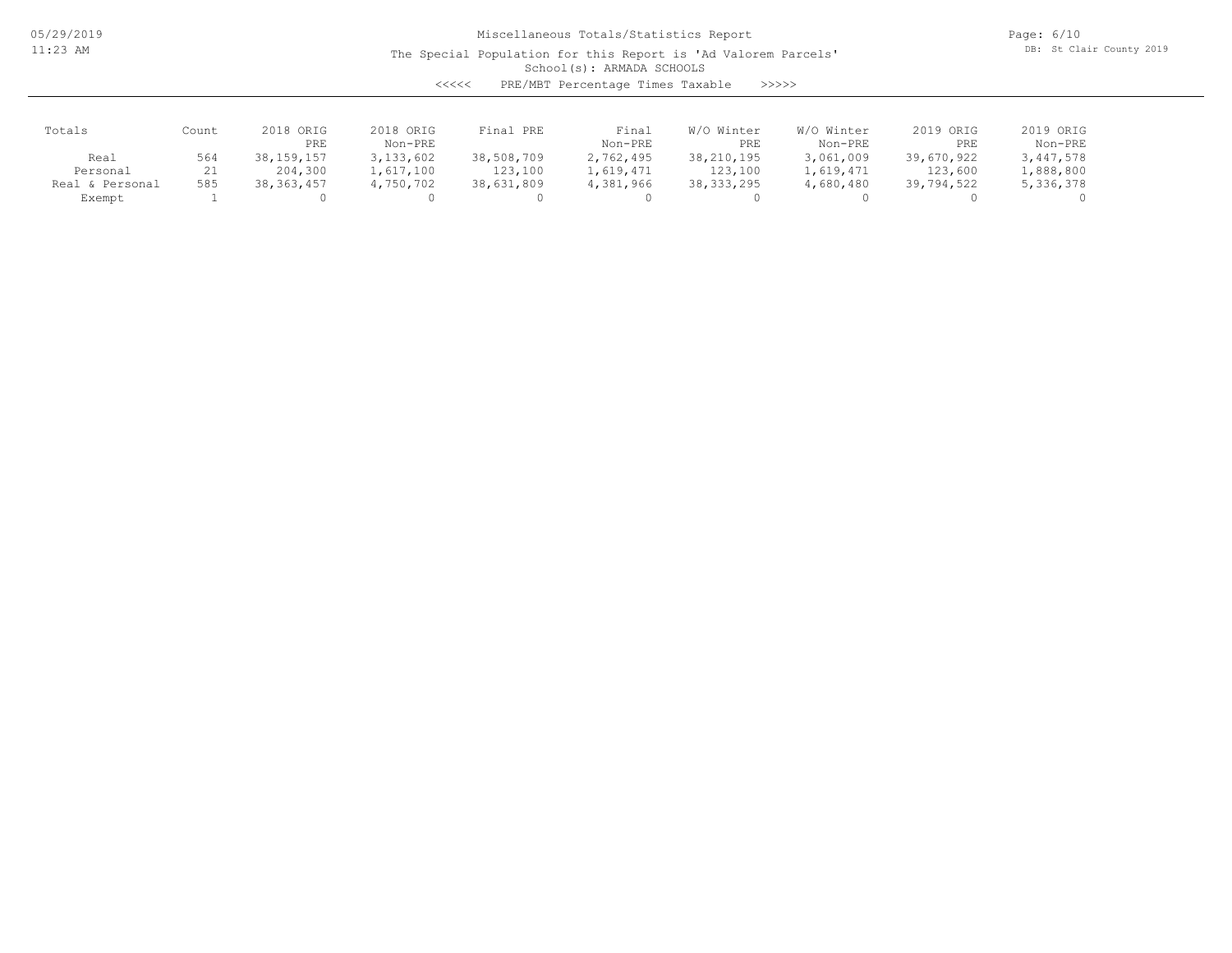The Special Population for this Report is 'Ad Valorem Parcels'

Page: 6/10 DB: St Clair County 2019

### School(s): ARMADA SCHOOLS

| くくくくく | PRE/MBT Percentage Times Taxable |  |  | >>>>> |
|-------|----------------------------------|--|--|-------|
|-------|----------------------------------|--|--|-------|

| Totals             | Count | 2018 ORIG<br>PRE | 2018 ORIG<br>Non-PRE | Final PRE  | Final<br>Non-PRE | Winter<br>W/O<br>PRE | W/O Winter<br>Non-PRE | 2019 ORIG<br>PRE | 2019 ORIG<br>Non-PRE |
|--------------------|-------|------------------|----------------------|------------|------------------|----------------------|-----------------------|------------------|----------------------|
| Real               | 564   | 38, 159, 157     | 3,133,602            | 38,508,709 | 2,762,495        | 38, 210, 195         | 3,061,009             | 39,670,922       | 3,447,578            |
| Personal           | 21    | 204,300          | l,617,100            | 123,100    | 1,619,471        | 123,100              | 1,619,471             | 123,600          | 1,888,800            |
| & Personal<br>Real | 585   | 38, 363, 457     | 4,750,702            | 38,631,809 | 4,381,966        | 38, 333, 295         | 4,680,480             | 39,794,522       | 5,336,378            |
| Exempt             |       |                  |                      |            |                  |                      |                       |                  |                      |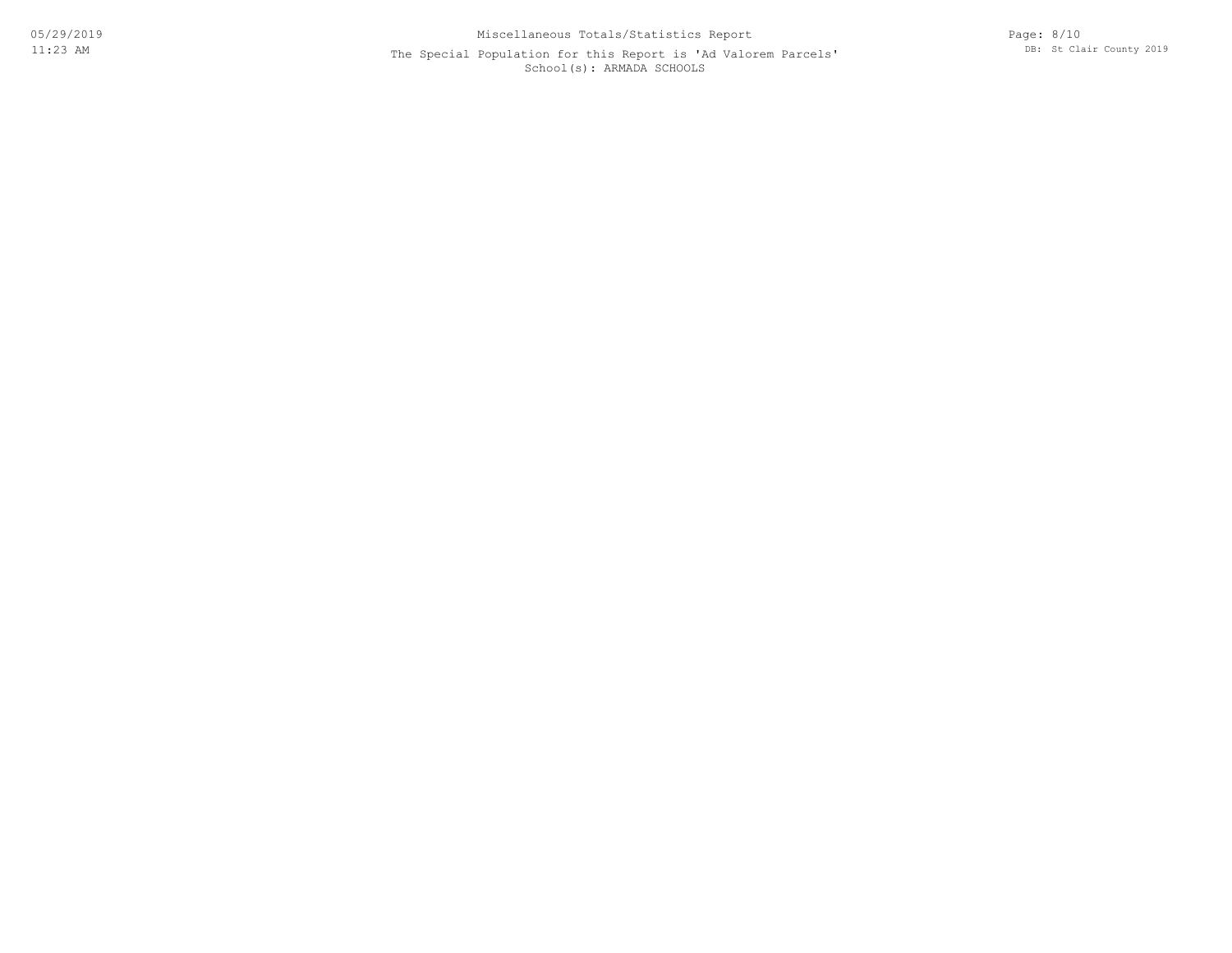#### School(s): ARMADA SCHOOLS The Special Population for this Report is 'Ad Valorem Parcels'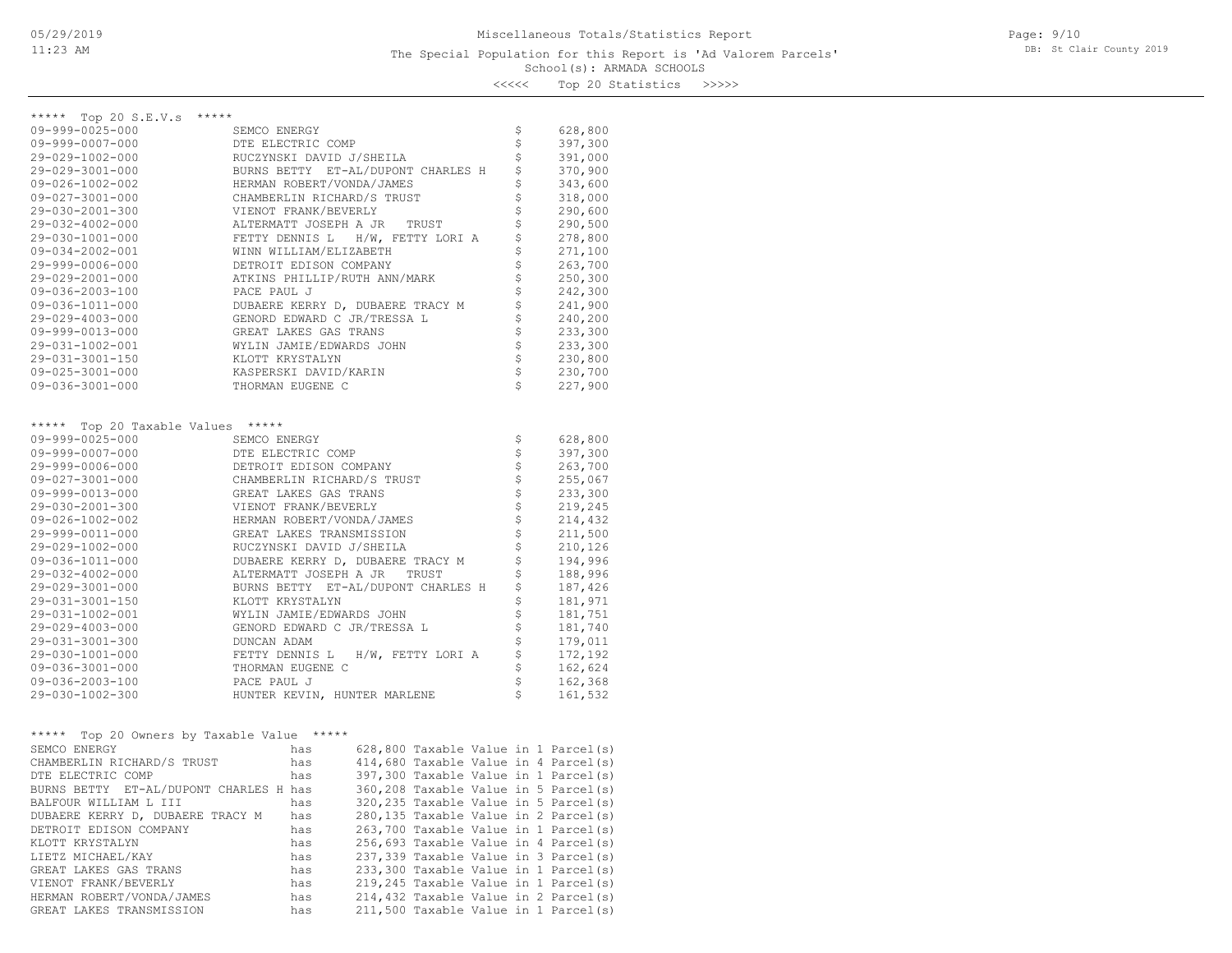<<<<< Top 20 Statistics >>>>>

| ***** Top 20 S.E.V.s<br>*****                 |                                              |                                |         |
|-----------------------------------------------|----------------------------------------------|--------------------------------|---------|
| 09-999-0025-000                               | SEMCO ENERGY                                 | \$                             | 628,800 |
| 09-999-0007-000                               | DTE ELECTRIC COMP                            | \$                             | 397,300 |
| 29-029-1002-000                               | RUCZYNSKI DAVID J/SHEILA                     | \$                             | 391,000 |
| 29-029-3001-000                               | BURNS BETTY ET-AL/DUPONT CHARLES H           | \$                             | 370,900 |
| 09-026-1002-002                               | HERMAN ROBERT/VONDA/JAMES                    | \$                             | 343,600 |
| $09 - 027 - 3001 - 000$                       | CHAMBERLIN RICHARD/S TRUST                   | \$                             | 318,000 |
| 29-030-2001-300                               | VIENOT FRANK/BEVERLY                         | \$                             | 290,600 |
| 29-032-4002-000                               | ALTERMATT JOSEPH A JR<br>TRUST               | \$                             | 290,500 |
| 29-030-1001-000                               | FETTY DENNIS L H/W, FETTY LORI A             | \$                             | 278,800 |
| $09 - 034 - 2002 - 001$                       | WINN WILLIAM/ELIZABETH                       | \$                             | 271,100 |
| 29-999-0006-000                               | DETROIT EDISON COMPANY                       | \$                             | 263,700 |
| 29-029-2001-000                               | ATKINS PHILLIP/RUTH ANN/MARK                 | \$                             | 250,300 |
| 09-036-2003-100                               | PACE PAUL J                                  | \$                             | 242,300 |
| 09-036-1011-000                               | DUBAERE KERRY D, DUBAERE TRACY M             | \$                             | 241,900 |
| 29-029-4003-000                               | GENORD EDWARD C JR/TRESSA L                  | $\stackrel{\cdot}{\mathsf{S}}$ | 240,200 |
| 09-999-0013-000                               | GREAT LAKES GAS TRANS                        | $\hat{\varsigma}$              | 233,300 |
| 29-031-1002-001                               | WYLIN JAMIE/EDWARDS JOHN                     | \$                             | 233,300 |
| 29-031-3001-150                               | KLOTT KRYSTALYN                              | $\boldsymbol{\dot{\varsigma}}$ | 230,800 |
| $09 - 025 - 3001 - 000$                       | KASPERSKI DAVID/KARIN                        | \$                             | 230,700 |
| $09 - 036 - 3001 - 000$                       | THORMAN EUGENE C                             | \$                             | 227,900 |
|                                               |                                              |                                |         |
| ***** Top 20 Taxable Values *****             |                                              |                                |         |
| 09-999-0025-000                               | SEMCO ENERGY                                 | \$                             | 628,800 |
| 09-999-0007-000                               | DTE ELECTRIC COMP                            | $\boldsymbol{\dot{\varsigma}}$ | 397,300 |
| 29-999-0006-000                               | DETROIT EDISON COMPANY                       | $\boldsymbol{\dot{\varsigma}}$ | 263,700 |
| $09 - 027 - 3001 - 000$                       | CHAMBERLIN RICHARD/S TRUST                   | $\boldsymbol{\dot{\varsigma}}$ | 255,067 |
| 09-999-0013-000                               | GREAT LAKES GAS TRANS                        | $\stackrel{.}{\mathsf{S}}$     | 233,300 |
| 29-030-2001-300                               | VIENOT FRANK/BEVERLY                         | \$                             | 219,245 |
| 09-026-1002-002                               | HERMAN ROBERT/VONDA/JAMES                    | $\frac{1}{2}$                  | 214,432 |
| 29-999-0011-000                               | GREAT LAKES TRANSMISSION                     | \$                             | 211,500 |
| 29-029-1002-000                               | RUCZYNSKI DAVID J/SHEILA                     | \$                             | 210,126 |
| 09-036-1011-000                               | DUBAERE KERRY D, DUBAERE TRACY M             | \$                             | 194,996 |
| 29-032-4002-000                               | ALTERMATT JOSEPH A JR<br>TRUST               | \$                             | 188,996 |
| 29-029-3001-000                               | BURNS BETTY ET-AL/DUPONT CHARLES H           | \$                             | 187,426 |
| 29-031-3001-150                               | KLOTT KRYSTALYN                              | \$                             | 181,971 |
| 29-031-1002-001                               | WYLIN JAMIE/EDWARDS JOHN                     | \$                             | 181,751 |
| 29-029-4003-000                               | GENORD EDWARD C JR/TRESSA L                  | \$                             | 181,740 |
| 29-031-3001-300                               | DUNCAN ADAM                                  | \$                             | 179,011 |
| 29-030-1001-000                               | FETTY DENNIS L H/W, FETTY LORI A             | \$                             | 172,192 |
| 09-036-3001-000                               | THORMAN EUGENE C                             | \$                             | 162,624 |
| 09-036-2003-100                               | PACE PAUL J                                  | \$                             | 162,368 |
| 29-030-1002-300                               | HUNTER KEVIN, HUNTER MARLENE                 | \$                             | 161,532 |
|                                               |                                              |                                |         |
| *****<br>Top 20 Owners by Taxable Value ***** |                                              |                                |         |
| SEMCO ENERGY                                  | 628,800 Taxable Value in 1 Parcel(s)<br>has  |                                |         |
| CHAMBERLIN RICHARD/S TRUST                    | 414,680 Taxable Value in 4 Parcel(s)<br>has  |                                |         |
| DTE ELECTRIC COMP                             | 397,300 Taxable Value in 1 Parcel(s)<br>has  |                                |         |
| BURNS BETTY ET-AL/DUPONT CHARLES H has        | 360,208 Taxable Value in 5 Parcel(s)         |                                |         |
| BALFOUR WILLIAM L III                         | 320, 235 Taxable Value in 5 Parcel(s)<br>has |                                |         |
| DUBAERE KERRY D, DUBAERE TRACY M              | 280,135 Taxable Value in 2 Parcel(s)<br>has  |                                |         |
| DETROIT EDISON COMPANY                        | 263,700 Taxable Value in 1 Parcel(s)<br>has  |                                |         |
| KLOTT KRYSTALYN                               | 256,693 Taxable Value in 4 Parcel(s)<br>has  |                                |         |
| LIETZ MICHAEL/KAY                             | 237,339 Taxable Value in 3 Parcel(s)<br>has  |                                |         |
| GREAT LAKES GAS TRANS                         | 233,300 Taxable Value in 1 Parcel(s)<br>has  |                                |         |
| VIENOT FRANK/BEVERLY                          | 219,245 Taxable Value in 1 Parcel(s)<br>has  |                                |         |

GREAT LAKES TRANSMISSION has 211,500 Taxable Value in 1 Parcel(s) HERMAN ROBERT/VONDA/JAMES has 214,432 Taxable Value in 2 Parcel(s)